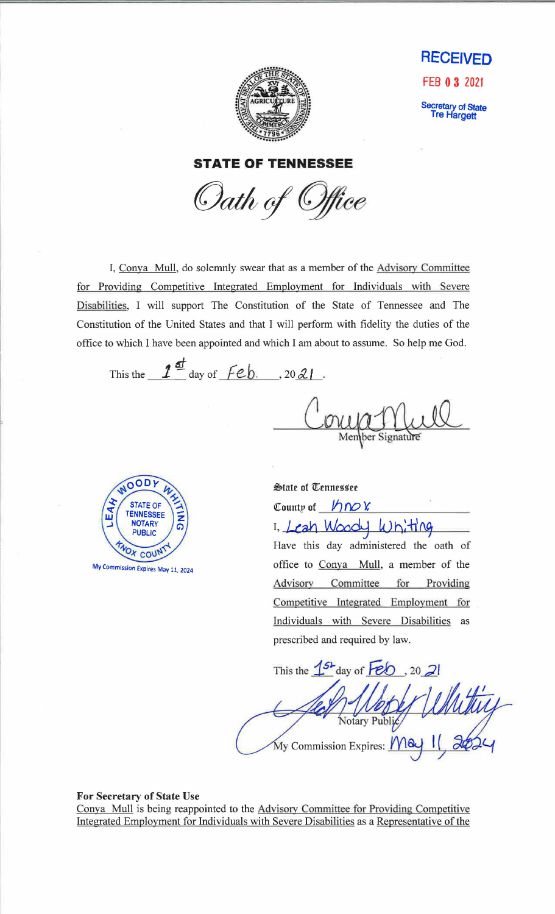



Secretary of State<br>Tre Hargett

**STATE OF TENNESSEE** 

Oath of Office

I, Conya Mull, do solemnly swear that as a member of the Advisory Committee for Providing Competitive Integrated Employment for Individuals with Severe Disabilities, I will support The Constitution of the State of Tennessee and The Constitution of the United States and that I will perform with fidelity the duties of the office to which I have been appointed and which I am about to assume. So help me God.

This the  $1^{\frac{d}{2}}$  day of  $\overline{f}$ eb. . 20 21.

Member Signature



State of Tennessee County of  $h \sim x$ I. Leah Woody Whiting Have this day administered the oath of office to Conya Mull, a member of the Advisory Committee for Providing Competitive Integrated Employment for Individuals with Severe Disabilities as prescribed and required by law.

This the  $1^{5}$  day of  $\overline{FeO}$ , 20 21 Notary Public My Commission Expires: May 1

For Secretary of State Use Conya Mull is being reappointed to the Advisory Committee for Providing Competitive Integrated Employment for Individuals with Severe Disabilities as a Representative of the